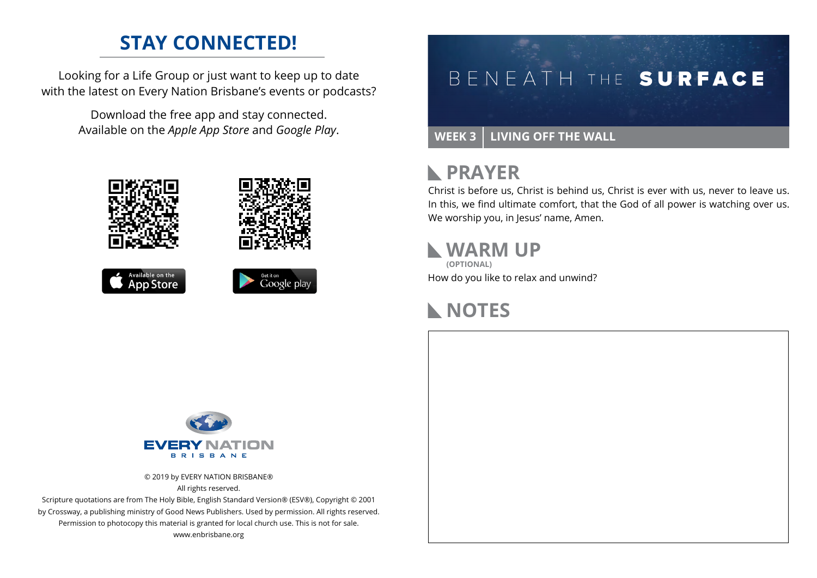### **STAY CONNECTED!**

Looking for a Life Group or just want to keep up to date with the latest on Every Nation Brisbane's events or podcasts?

> Download the free app and stay connected. Available on the *Apple App Store* and *Google Play*.





```
Available on the<br>App Store
```




#### **WEEK 3 LIVING OFF THE WALL**

### **RAYER**

Christ is before us, Christ is behind us, Christ is ever with us, never to leave us. In this, we find ultimate comfort, that the God of all power is watching over us. We worship you, in Jesus' name, Amen.

#### **WARM UP (OPTIONAL)**

How do you like to relax and unwind?

### **NOTES**



© 2019 by EVERY NATION BRISBANE® All rights reserved.

Scripture quotations are from The Holy Bible, English Standard Version® (ESV®), Copyright © 2001 by Crossway, a publishing ministry of Good News Publishers. Used by permission. All rights reserved. Permission to photocopy this material is granted for local church use. This is not for sale. www.enbrisbane.org